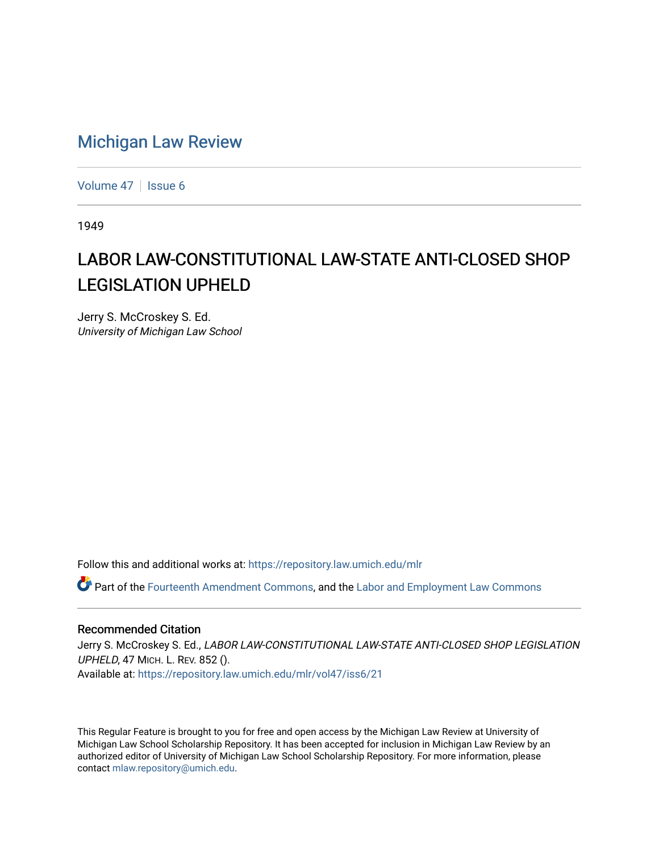## [Michigan Law Review](https://repository.law.umich.edu/mlr)

[Volume 47](https://repository.law.umich.edu/mlr/vol47) | [Issue 6](https://repository.law.umich.edu/mlr/vol47/iss6)

1949

## LABOR LAW-CONSTITUTIONAL LAW-STATE ANTI-CLOSED SHOP LEGISLATION UPHELD

Jerry S. McCroskey S. Ed. University of Michigan Law School

Follow this and additional works at: [https://repository.law.umich.edu/mlr](https://repository.law.umich.edu/mlr?utm_source=repository.law.umich.edu%2Fmlr%2Fvol47%2Fiss6%2F21&utm_medium=PDF&utm_campaign=PDFCoverPages) 

 $\bullet$  Part of the [Fourteenth Amendment Commons](http://network.bepress.com/hgg/discipline/1116?utm_source=repository.law.umich.edu%2Fmlr%2Fvol47%2Fiss6%2F21&utm_medium=PDF&utm_campaign=PDFCoverPages), and the Labor and Employment Law Commons

## Recommended Citation

Jerry S. McCroskey S. Ed., LABOR LAW-CONSTITUTIONAL LAW-STATE ANTI-CLOSED SHOP LEGISLATION UPHELD, 47 MICH. L. REV. 852 (). Available at: [https://repository.law.umich.edu/mlr/vol47/iss6/21](https://repository.law.umich.edu/mlr/vol47/iss6/21?utm_source=repository.law.umich.edu%2Fmlr%2Fvol47%2Fiss6%2F21&utm_medium=PDF&utm_campaign=PDFCoverPages) 

This Regular Feature is brought to you for free and open access by the Michigan Law Review at University of Michigan Law School Scholarship Repository. It has been accepted for inclusion in Michigan Law Review by an authorized editor of University of Michigan Law School Scholarship Repository. For more information, please contact [mlaw.repository@umich.edu](mailto:mlaw.repository@umich.edu).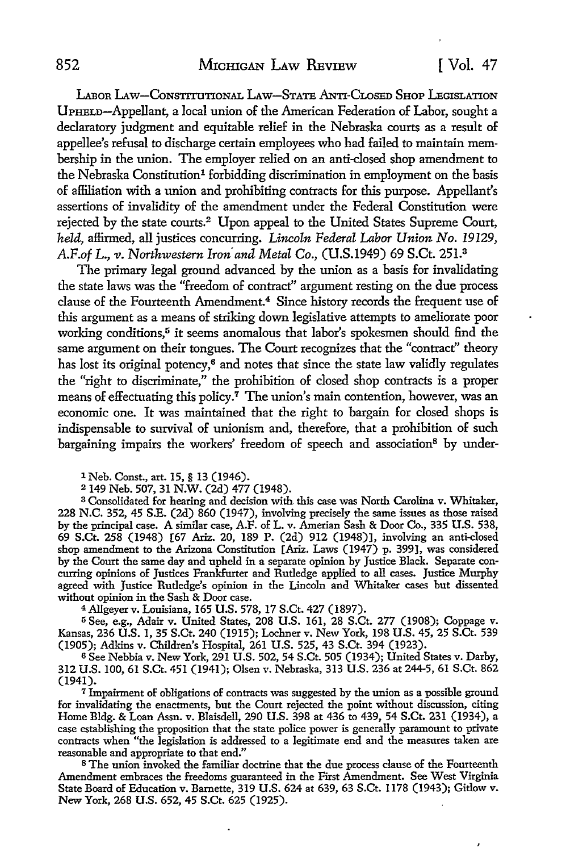ï

LABOR LAW-CONSTITUTIONAL LAW-STATE ANTI-CLOSED SHOP LEGISLATION UPHELD-Appellant, a local union of the American Federation of Labor, sought a declaratory judgment and equitable relief in the Nebraska courts as a result of appellee's refusal to discharge certain employees who had failed to maintain membership in the union. The employer relied on an anti-closed shop amendment to the Nebraska Constitution<sup>1</sup> forbidding discrimination in employment on the basis of affiliation with a union and prohibiting contracts for this purpose. Appellant's assertions of invalidity of the amendment under the Federal Constitution were rejected by the state courts.<sup>2</sup> Upon appeal to the United States Supreme Court, *held,* affirmed, all justices concurring. *Lincoln Federal Labor Union No. 19129,*  AF.of L., *v. Northwestern Iron· and Metal* Co., (U.S.1949) 69 S.Ct. 251.3

The primary legal ground advanced by the union as a basis for invalidating the state laws was the "freedom of contract" argument resting on the due process clause of the Fourteenth Amendment.<sup>4</sup> Since history records the frequent use of this argument as a means of striking down legislative attempts to ameliorate poor working conditions,<sup>5</sup> it seems anomalous that labor's spokesmen should find the same argument on their tongues. The Court recognizes that the "contract" theory has lost its original potency,<sup>6</sup> and notes that since the state law validly regulates the "right to discriminate," the prohibition of closed shop contracts is a proper means of effectuating this policy.<sup>7</sup> The union's main contention, however, was an economic one. It was maintained that the right to bargain for closed shops is indispensable to survival of unionism and, therefore, that a prohibition of such bargaining impairs the workers' freedom of speech and association<sup>8</sup> by under-

1 Neb. Const., art. 15, § 13 (1946).

<sup>2</sup>149 Neb. 507, 31 N.W. (2d) 477 (1948).

<sup>3</sup>Consolidated for hearing and decision with this case was North Carolina v. Whitaker, 228 N.C. 352, 45 S.E. (2d) 860 (1947), involving precisely the same issues as those raised by the principal case. A similar case, A.F. of L. v. Amerian Sash & Door Co., 335 U.S. 538, 69 S.Ct. 258 (1948) [67 Ariz. 20, 189 P. (2d) 912 (1948)], involving an anti-closed shop amendment to the Arizona Constitution [Ariz. Laws (1947) p. 399), was considered by the Court the same day and upheld in a separate opinion by Justice Black. Separate concurring opinions of Justices Frankfurter and Rutledge applied to all cases. Justice Murphy agreed with Justice Rutledge's opinion in the Lincoln and Whitaker cases but dissented without opinion in the Sash & Door case.

4Allgeyerv. Louisiana, 165 U.S. 578, 17 S.Ct. 427 (1897).

<sup>5</sup>See, e.g., Adair v. United States, 208 U.S. 161, 28 S.Ct. 277 (1908); Coppage v. Kansas, 236 U.S. l, 35 S.Ct. 240 (1915); Lochner v. New York, 198 U.S. 45, 25 S.Ct. 539 (1905); Adkins v. Children's Hospital, 261 U.S. 525, 43 S.Ct. 394 (1923).

<sup>6</sup>See Nebbia v. New York, 291 U.S. 502, 54 S.Ct. 505 (1934); United States v. Darby, 312 U.S. 100, 61 S.Ct. 451 (1941); Olsen v. Nebraska, 313 U.S. 236 at 244-5, 61 S.Ct. 862 (1941).

<sup>7</sup>Impairment of obligations of contracts was suggested by the union as a possible ground for invalidating the enactments, but the Court rejected the point without discussion, citing Home Bldg. & Loan Assn. v. Blaisdell, 290 U.S. 398 at 436 to 439, 54 S.Ct. 231 (1934), a case establishing the proposition that the state police power is generally paramount to private contracts when "the legislation is addressed to a legitimate end and the measures taken are reasonable and appropriate to that end."

s The union invoked the familiar doctrine that the due process clause of the Fourteenth Amendment embraces the freedoms guaranteed in the First Amendment. See West Virginia State Board of Education v. Barnette, 319 U.S. 624 at 639, 63 S.Ct. 1178 (1943); Gitlow v. New York, 268 U.S. 652, 45 S.Ct. 625 (1925).